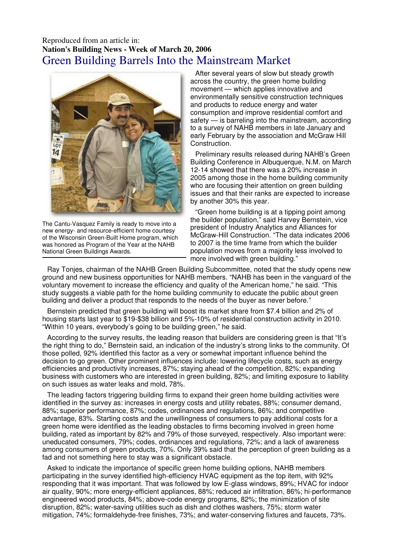## Reproduced from an article in: **Nation's Building News - Week of March 20, 2006**  Green Building Barrels Into the Mainstream Market



The Cantu-Vasquez Family is ready to move into a new energy- and resource-efficient home courtesy of the Wisconsin Green-Built Home program, which was honored as Program of the Year at the NAHB National Green Buildings Awards.

After several years of slow but steady growth across the country, the green home building movement — which applies innovative and environmentally sensitive construction techniques and products to reduce energy and water consumption and improve residential comfort and safety — is barreling into the mainstream, according to a survey of NAHB members in late January and early February by the association and McGraw Hill Construction.

Preliminary results released during NAHB's Green Building Conference in Albuquerque, N.M. on March 12-14 showed that there was a 20% increase in 2005 among those in the home building community who are focusing their attention on green building issues and that their ranks are expected to increase by another 30% this year.

"Green home building is at a tipping point among the builder population," said Harvey Bernstein, vice president of Industry Analytics and Alliances for McGraw-Hill Construction. "The data indicates 2006 to 2007 is the time frame from which the builder population moves from a majority less involved to more involved with green building."

Ray Tonjes, chairman of the NAHB Green Building Subcommittee, noted that the study opens new ground and new business opportunities for NAHB members. "NAHB has been in the vanguard of the voluntary movement to increase the efficiency and quality of the American home," he said. "This study suggests a viable path for the home building community to educate the public about green building and deliver a product that responds to the needs of the buyer as never before."

Bernstein predicted that green building will boost its market share from \$7.4 billion and 2% of housing starts last year to \$19-\$38 billion and 5%-10% of residential construction activity in 2010. "Within 10 years, everybody's going to be building green," he said.

According to the survey results, the leading reason that builders are considering green is that "It's the right thing to do," Bernstein said, an indication of the industry's strong links to the community. Of those polled, 92% identified this factor as a very or somewhat important influence behind the decision to go green. Other prominent influences include: lowering lifecycle costs, such as energy efficiencies and productivity increases, 87%; staying ahead of the competition, 82%; expanding business with customers who are interested in green building, 82%; and limiting exposure to liability on such issues as water leaks and mold, 78%.

The leading factors triggering building firms to expand their green home building activities were identified in the survey as: increases in energy costs and utility rebates, 88%; consumer demand, 88%; superior performance, 87%; codes, ordinances and regulations, 86%; and competitive advantage, 83%. Starting costs and the unwillingness of consumers to pay additional costs for a green home were identified as the leading obstacles to firms becoming involved in green home building, rated as important by 82% and 79% of those surveyed, respectively. Also important were: uneducated consumers, 79%; codes, ordinances and regulations, 72%; and a lack of awareness among consumers of green products, 70%. Only 39% said that the perception of green building as a fad and not something here to stay was a significant obstacle.

Asked to indicate the importance of specific green home building options, NAHB members participating in the survey identified high-efficiency HVAC equipment as the top item, with 92% responding that it was important. That was followed by low E-glass windows, 89%; HVAC for indoor air quality, 90%; more energy-efficient appliances, 88%; reduced air infiltration, 86%; hi-performance engineered wood products, 84%; above-code energy programs, 82%; the minimization of site disruption, 82%; water-saving utilities such as dish and clothes washers, 75%; storm water mitigation, 74%; formaldehyde-free finishes, 73%; and water-conserving fixtures and faucets, 73%.